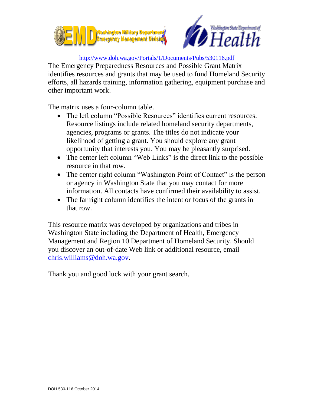



## <http://www.doh.wa.gov/Portals/1/Documents/Pubs/530116.pdf>

The Emergency Preparedness Resources and Possible Grant Matrix identifies resources and grants that may be used to fund Homeland Security efforts, all hazards training, information gathering, equipment purchase and other important work.

The matrix uses a four-column table.

- The left column "Possible Resources" identifies current resources. Resource listings include related homeland security departments, agencies, programs or grants. The titles do not indicate your likelihood of getting a grant. You should explore any grant opportunity that interests you. You may be pleasantly surprised.
- The center left column "Web Links" is the direct link to the possible resource in that row.
- The center right column "Washington Point of Contact" is the person or agency in Washington State that you may contact for more information. All contacts have confirmed their availability to assist.
- The far right column identifies the intent or focus of the grants in that row.

This resource matrix was developed by organizations and tribes in Washington State including the Department of Health, Emergency Management and Region 10 Department of Homeland Security. Should you discover an out-of-date Web link or additional resource, email [chris.williams@doh.wa.gov.](mailto:chris.williams@doh.wa.gov)

Thank you and good luck with your grant search.